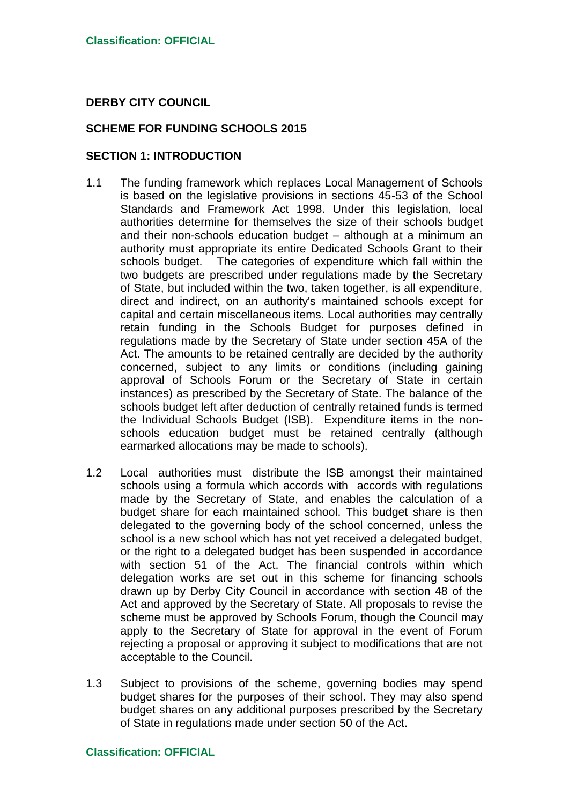## **DERBY CITY COUNCIL**

## **SCHEME FOR FUNDING SCHOOLS 2015**

## **SECTION 1: INTRODUCTION**

- 1.1 The funding framework which replaces Local Management of Schools is based on the legislative provisions in sections 45-53 of the School Standards and Framework Act 1998. Under this legislation, local authorities determine for themselves the size of their schools budget and their non-schools education budget – although at a minimum an authority must appropriate its entire Dedicated Schools Grant to their schools budget. The categories of expenditure which fall within the two budgets are prescribed under regulations made by the Secretary of State, but included within the two, taken together, is all expenditure, direct and indirect, on an authority's maintained schools except for capital and certain miscellaneous items. Local authorities may centrally retain funding in the Schools Budget for purposes defined in regulations made by the Secretary of State under section 45A of the Act. The amounts to be retained centrally are decided by the authority concerned, subject to any limits or conditions (including gaining approval of Schools Forum or the Secretary of State in certain instances) as prescribed by the Secretary of State. The balance of the schools budget left after deduction of centrally retained funds is termed the Individual Schools Budget (ISB). Expenditure items in the nonschools education budget must be retained centrally (although earmarked allocations may be made to schools).
- 1.2 Local authorities must distribute the ISB amongst their maintained schools using a formula which accords with accords with regulations made by the Secretary of State, and enables the calculation of a budget share for each maintained school. This budget share is then delegated to the governing body of the school concerned, unless the school is a new school which has not yet received a delegated budget, or the right to a delegated budget has been suspended in accordance with section 51 of the Act. The financial controls within which delegation works are set out in this scheme for financing schools drawn up by Derby City Council in accordance with section 48 of the Act and approved by the Secretary of State. All proposals to revise the scheme must be approved by Schools Forum, though the Council may apply to the Secretary of State for approval in the event of Forum rejecting a proposal or approving it subject to modifications that are not acceptable to the Council.
- 1.3 Subject to provisions of the scheme, governing bodies may spend budget shares for the purposes of their school. They may also spend budget shares on any additional purposes prescribed by the Secretary of State in regulations made under section 50 of the Act.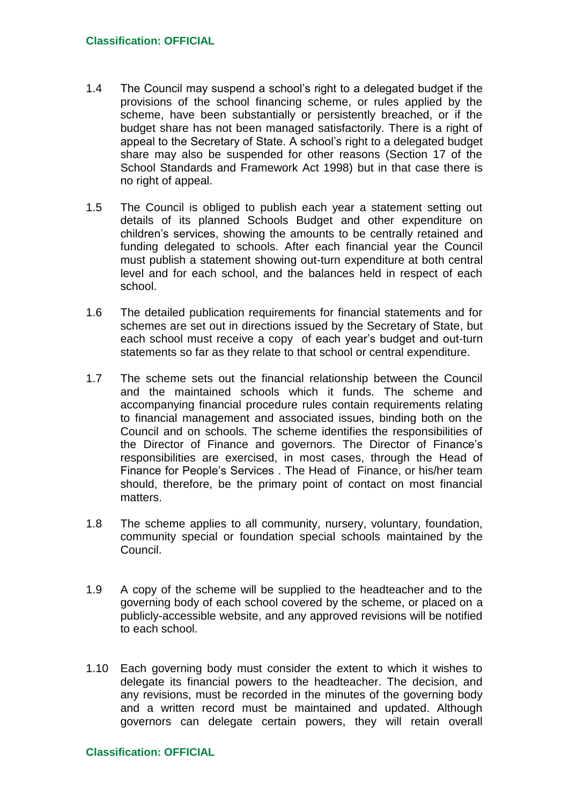- 1.4 The Council may suspend a school's right to a delegated budget if the provisions of the school financing scheme, or rules applied by the scheme, have been substantially or persistently breached, or if the budget share has not been managed satisfactorily. There is a right of appeal to the Secretary of State. A school's right to a delegated budget share may also be suspended for other reasons (Section 17 of the School Standards and Framework Act 1998) but in that case there is no right of appeal.
- 1.5 The Council is obliged to publish each year a statement setting out details of its planned Schools Budget and other expenditure on children's services, showing the amounts to be centrally retained and funding delegated to schools. After each financial year the Council must publish a statement showing out-turn expenditure at both central level and for each school, and the balances held in respect of each school.
- 1.6 The detailed publication requirements for financial statements and for schemes are set out in directions issued by the Secretary of State, but each school must receive a copy of each year's budget and out-turn statements so far as they relate to that school or central expenditure.
- 1.7 The scheme sets out the financial relationship between the Council and the maintained schools which it funds. The scheme and accompanying financial procedure rules contain requirements relating to financial management and associated issues, binding both on the Council and on schools. The scheme identifies the responsibilities of the Director of Finance and governors. The Director of Finance's responsibilities are exercised, in most cases, through the Head of Finance for People's Services . The Head of Finance, or his/her team should, therefore, be the primary point of contact on most financial matters.
- 1.8 The scheme applies to all community, nursery, voluntary, foundation, community special or foundation special schools maintained by the Council.
- 1.9 A copy of the scheme will be supplied to the headteacher and to the governing body of each school covered by the scheme, or placed on a publicly-accessible website, and any approved revisions will be notified to each school.
- 1.10 Each governing body must consider the extent to which it wishes to delegate its financial powers to the headteacher. The decision, and any revisions, must be recorded in the minutes of the governing body and a written record must be maintained and updated. Although governors can delegate certain powers, they will retain overall